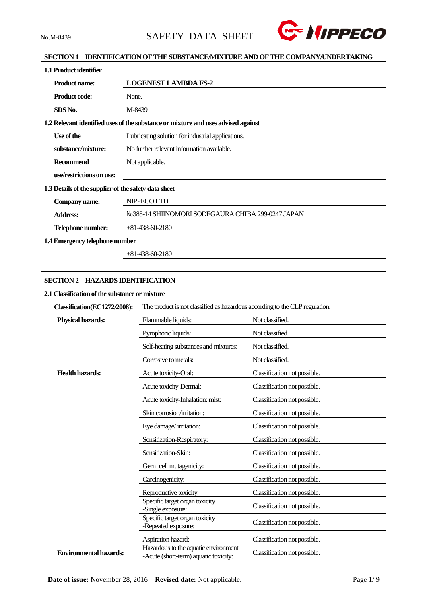

## **SECTION 1 IDENTIFICATION OF THE SUBSTANCE/MIXTURE AND OF THE COMPANY/UNDERTAKING**

| 1.1 Product identifier                               |                                                                                   |  |  |  |
|------------------------------------------------------|-----------------------------------------------------------------------------------|--|--|--|
| <b>Product name:</b>                                 | <b>LOGENEST LAMBDA FS-2</b>                                                       |  |  |  |
| <b>Product code:</b>                                 | None.                                                                             |  |  |  |
| SDS No.                                              | M-8439                                                                            |  |  |  |
|                                                      | 1.2 Relevant identified uses of the substance or mixture and uses advised against |  |  |  |
| Use of the                                           | Lubricating solution for industrial applications.                                 |  |  |  |
| substance/mixture:                                   | No further relevant information available.                                        |  |  |  |
| <b>Recommend</b>                                     | Not applicable.                                                                   |  |  |  |
| use/restrictions on use:                             |                                                                                   |  |  |  |
| 1.3 Details of the supplier of the safety data sheet |                                                                                   |  |  |  |
| Company name:                                        | NIPPECO LTD.                                                                      |  |  |  |
| <b>Address:</b>                                      | No.385-14 SHIINOMORI SODEGAURA CHIBA 299-0247 JAPAN                               |  |  |  |
| Telephone number:                                    | $+81-438-60-2180$                                                                 |  |  |  |
| 1.4 Emergency telephone number                       |                                                                                   |  |  |  |

+81-438-60-2180

## **SECTION 2 HAZARDS IDENTIFICATION**

## **2.1 Classification of the substance or mixture**

| Classification(EC1272/2008):  | The product is not classified as hazardous according to the CLP regulation.   |                              |  |  |
|-------------------------------|-------------------------------------------------------------------------------|------------------------------|--|--|
| <b>Physical hazards:</b>      | Flammable liquids:                                                            | Not classified.              |  |  |
|                               | Pyrophoric liquids:                                                           | Not classified.              |  |  |
|                               | Self-heating substances and mixtures:                                         | Not classified.              |  |  |
|                               | Corrosive to metals:                                                          | Not classified.              |  |  |
| <b>Health hazards:</b>        | Acute toxicity-Oral:                                                          | Classification not possible. |  |  |
|                               | Acute toxicity-Dermal:                                                        | Classification not possible. |  |  |
|                               | Acute toxicity-Inhalation: mist:                                              | Classification not possible. |  |  |
|                               | Skin corrosion/irritation:                                                    | Classification not possible. |  |  |
|                               | Eye damage/irritation:                                                        | Classification not possible. |  |  |
|                               | Sensitization-Respiratory:                                                    | Classification not possible. |  |  |
|                               | Sensitization-Skin:                                                           | Classification not possible. |  |  |
|                               | Germ cell mutagenicity:                                                       | Classification not possible. |  |  |
|                               | Carcinogenicity:                                                              | Classification not possible. |  |  |
|                               | Reproductive toxicity:                                                        | Classification not possible. |  |  |
|                               | Specific target organ toxicity<br>-Single exposure:                           | Classification not possible. |  |  |
|                               | Specific target organ toxicity<br>-Repeated exposure:                         | Classification not possible. |  |  |
|                               | Aspiration hazard:                                                            | Classification not possible. |  |  |
| <b>Environmental hazards:</b> | Hazardous to the aquatic environment<br>-Acute (short-term) aquatic toxicity: | Classification not possible. |  |  |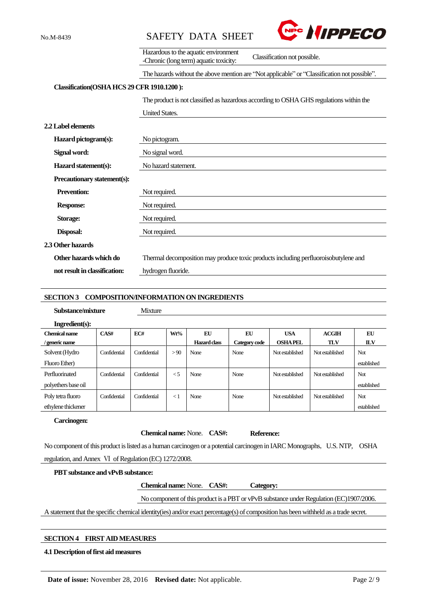



|                                            | Hazardous to the aquatic environment<br>Classification not possible.<br>-Chronic (long term) aquatic toxicity: |  |  |  |  |
|--------------------------------------------|----------------------------------------------------------------------------------------------------------------|--|--|--|--|
|                                            | The hazards without the above mention are "Not applicable" or "Classification not possible".                   |  |  |  |  |
| Classification(OSHA HCS 29 CFR 1910.1200): |                                                                                                                |  |  |  |  |
|                                            | The product is not classified as hazardous according to OSHA GHS regulations within the                        |  |  |  |  |
|                                            | <b>United States.</b>                                                                                          |  |  |  |  |
| <b>2.2 Label elements</b>                  |                                                                                                                |  |  |  |  |
| Hazard pictogram(s):                       | No pictogram.                                                                                                  |  |  |  |  |
| Signal word:                               | No signal word.                                                                                                |  |  |  |  |
| Hazard statement(s):                       | No hazard statement.                                                                                           |  |  |  |  |
| Precautionary statement(s):                |                                                                                                                |  |  |  |  |
| <b>Prevention:</b>                         | Not required.                                                                                                  |  |  |  |  |
| <b>Response:</b>                           | Not required.                                                                                                  |  |  |  |  |
| Storage:                                   | Not required.                                                                                                  |  |  |  |  |
| <b>Disposal:</b>                           | Not required.                                                                                                  |  |  |  |  |
| 2.3 Other hazards                          |                                                                                                                |  |  |  |  |
| Other hazards which do                     | Thermal decomposition may produce toxic products including perfluoroisobutylene and                            |  |  |  |  |
| not result in classification:              | hydrogen fluoride.                                                                                             |  |  |  |  |

### **SECTION 3 COMPOSITION/INFORMATION ON INGREDIENTS**

**Mixture** 

| Substance/mixture |  |
|-------------------|--|
|-------------------|--|

| www.c | $\sim$ |  |  |
|-------|--------|--|--|
|       |        |  |  |
|       |        |  |  |
|       |        |  |  |

| Ingradient(s):      |              |              |          |              |               |                 |                 |             |
|---------------------|--------------|--------------|----------|--------------|---------------|-----------------|-----------------|-------------|
| Chemical name       | CAS#         | EC#          | Wt%      | EU           | EU            | <b>USA</b>      | <b>ACGIH</b>    | EU          |
| / generic name      |              |              |          | Hazard class | Category code | <b>OSHAPEL</b>  | <b>TLV</b>      | ПV          |
| Solvent (Hydro      | Confidential | Confidential | > 90     | None         | None          | Not established | Not established | <b>Not</b>  |
| Fluoro Ether)       |              |              |          |              |               |                 |                 | established |
| Perfluorinated      | Confidential | Confidential | $\leq 5$ | None         | None          | Not established | Not established | <b>Not</b>  |
| polyethers base oil |              |              |          |              |               |                 |                 | established |
| Poly tetra fluoro   | Confidential | Confidential | $\lt 1$  | None         | None          | Not established | Not established | <b>Not</b>  |
| ethylene thickener  |              |              |          |              |               |                 |                 | established |

## **Carcinogen:**

### **Chemical name:** None. **CAS#: Reference:**

No component of this product is listed as a human carcinogen or a potential carcinogen in IARC Monographs, U.S. NTP, OSHA regulation, and Annex Ⅵ of Regulation (EC) 1272/2008.

### **PBT substance and vPvB substance:**

**Chemical name:** None. **CAS#: Category:**

No component of this product is a PBT or vPvB substance under Regulation (EC)1907/2006.

A statement that the specific chemical identity(ies) and/or exact percentage(s) of composition has been withheld as a trade secret.

# **SECTION 4 FIRST AID MEASURES**

# **4.1 Description of first aid measures**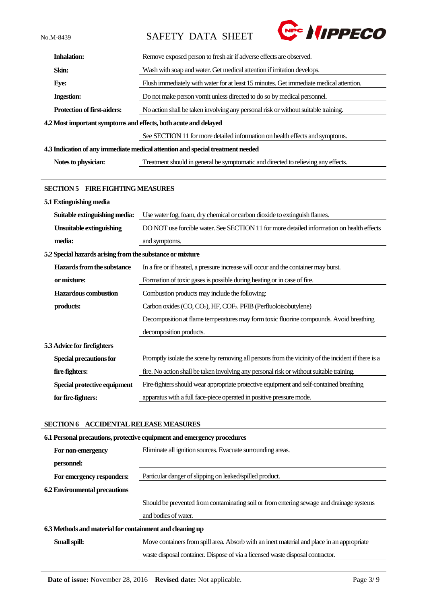No.M-8439 SAFETY DATA SHEET



| <b>Inhalation:</b>                                              | Remove exposed person to fresh air if adverse effects are observed.                                |  |  |  |
|-----------------------------------------------------------------|----------------------------------------------------------------------------------------------------|--|--|--|
| Skin:                                                           | Wash with soap and water. Get medical attention if irritation develops.                            |  |  |  |
| Eye:                                                            | Flush immediately with water for at least 15 minutes. Get immediate medical attention.             |  |  |  |
| <b>Ingestion:</b>                                               | Do not make person vomit unless directed to do so by medical personnel.                            |  |  |  |
| <b>Protection of first-aiders:</b>                              | No action shall be taken involving any personal risk or without suitable training.                 |  |  |  |
| 4.2 Most important symptoms and effects, both acute and delayed |                                                                                                    |  |  |  |
|                                                                 | See SECTION 11 for more detailed information on health effects and symptoms.                       |  |  |  |
|                                                                 | 4.3 Indication of any immediate medical attention and special treatment needed                     |  |  |  |
| Notes to physician:                                             | Treatment should in general be symptomatic and directed to relieving any effects.                  |  |  |  |
|                                                                 |                                                                                                    |  |  |  |
| <b>SECTION 5 FIRE FIGHTING MEASURES</b>                         |                                                                                                    |  |  |  |
| 5.1 Extinguishing media                                         |                                                                                                    |  |  |  |
| Suitable extinguishing media:                                   | Use water fog, foam, dry chemical or carbon dioxide to extinguish flames.                          |  |  |  |
| <b>Unsuitable extinguishing</b>                                 | DO NOT use forcible water. See SECTION 11 for more detailed information on health effects          |  |  |  |
| media:                                                          | and symptoms.                                                                                      |  |  |  |
| 5.2 Special hazards arising from the substance or mixture       |                                                                                                    |  |  |  |
| Hazards from the substance                                      | In a fire or if heated, a pressure increase will occur and the container may burst.                |  |  |  |
| or mixture:                                                     | Formation of toxic gases is possible during heating or in case of fire.                            |  |  |  |
| <b>Hazardous combustion</b>                                     | Combustion products may include the following:                                                     |  |  |  |
| products:                                                       | Carbon oxides (CO, CO <sub>2</sub> ), HF, COF <sub>2</sub> . PFIB (Perfluoloisobutylene)           |  |  |  |
|                                                                 | Decomposition at flame temperatures may form toxic fluorine compounds. Avoid breathing             |  |  |  |
|                                                                 | decomposition products.                                                                            |  |  |  |
| 5.3 Advice for firefighters                                     |                                                                                                    |  |  |  |
| Special precautions for                                         | Promptly isolate the scene by removing all persons from the vicinity of the incident if there is a |  |  |  |
| fire-fighters:                                                  | fire. No action shall be taken involving any personal risk or without suitable training.           |  |  |  |
| Special protective equipment                                    | Fire-fighters should wear appropriate protective equipment and self-contained breathing            |  |  |  |
| for fire-fighters:                                              | apparatus with a full face-piece operated in positive pressure mode.                               |  |  |  |
|                                                                 |                                                                                                    |  |  |  |

# **SECTION 6 ACCIDENTAL RELEASE MEASURES**

|                                                          | 6.1 Personal precautions, protective equipment and emergency procedures                    |  |  |  |  |
|----------------------------------------------------------|--------------------------------------------------------------------------------------------|--|--|--|--|
| For non-emergency                                        | Eliminate all ignition sources. Evacuate surrounding areas.                                |  |  |  |  |
| personnel:                                               |                                                                                            |  |  |  |  |
| For emergency responders:                                | Particular danger of slipping on leaked/spilled product.                                   |  |  |  |  |
| <b>6.2 Environmental precautions</b>                     |                                                                                            |  |  |  |  |
|                                                          | Should be prevented from contaminating soil or from entering sewage and drainage systems   |  |  |  |  |
|                                                          | and bodies of water.                                                                       |  |  |  |  |
| 6.3 Methods and material for containment and cleaning up |                                                                                            |  |  |  |  |
| Small spill:                                             | Move containers from spill area. Absorb with an inert material and place in an appropriate |  |  |  |  |
|                                                          | waste disposal container. Dispose of via a licensed waste disposal contractor.             |  |  |  |  |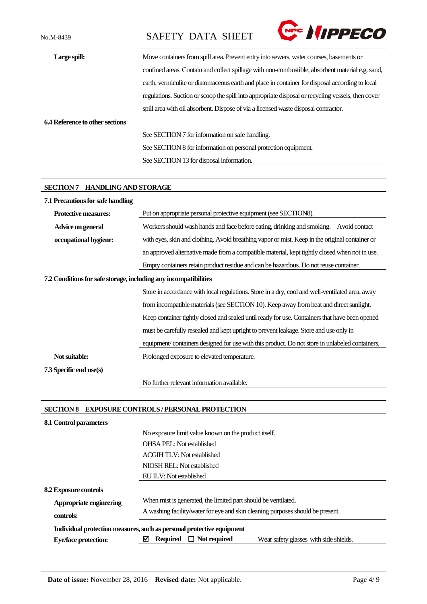No.M-8439 SAFETY DATA SHEET



| Large spill:                           | Move containers from spill area. Prevent entry into sewers, water courses, basements or            |  |  |  |
|----------------------------------------|----------------------------------------------------------------------------------------------------|--|--|--|
|                                        | confined areas. Contain and collect spillage with non-combustible, absorbent material e.g. sand,   |  |  |  |
|                                        | earth, vermiculite or diatomaceous earth and place in container for disposal according to local    |  |  |  |
|                                        | regulations. Suction or scoop the spill into appropriate disposal or recycling vessels, then cover |  |  |  |
|                                        | spill area with oil absorbent. Dispose of via a licensed waste disposal contractor.                |  |  |  |
| <b>6.4 Reference to other sections</b> |                                                                                                    |  |  |  |
|                                        | See SECTION 7 for information on safe handling.                                                    |  |  |  |
|                                        | See SECTION 8 for information on personal protection equipment.                                    |  |  |  |
|                                        | See SECTION 13 for disposal information.                                                           |  |  |  |

## **SECTION 7 HANDLING AND STORAGE**

| 7.1 Precautions for safe handling                                |                                                                                                 |  |  |  |  |
|------------------------------------------------------------------|-------------------------------------------------------------------------------------------------|--|--|--|--|
| <b>Protective measures:</b>                                      | Put on appropriate personal protective equipment (see SECTION8).                                |  |  |  |  |
| Advice on general                                                | Workers should wash hands and face before eating, drinking and smoking. Avoid contact           |  |  |  |  |
| occupational hygiene:                                            | with eyes, skin and clothing. Avoid breathing vapor or mist. Keep in the original container or  |  |  |  |  |
|                                                                  | an approved alternative made from a compatible material, kept tightly closed when not in use.   |  |  |  |  |
|                                                                  | Empty containers retain product residue and can be hazardous. Do not reuse container.           |  |  |  |  |
| 7.2 Conditions for safe storage, including any incompatibilities |                                                                                                 |  |  |  |  |
|                                                                  | Store in accordance with local regulations. Store in a dry, cool and well-ventilated area, away |  |  |  |  |
|                                                                  | from incompatible materials (see SECTION 10). Keep away from heat and direct sunlight.          |  |  |  |  |
|                                                                  | Keep container tightly closed and sealed until ready for use. Containers that have been opened  |  |  |  |  |
|                                                                  | must be carefully resealed and kept upright to prevent leakage. Store and use only in           |  |  |  |  |
|                                                                  | equipment/containers designed for use with this product. Do not store in unlabeled containers.  |  |  |  |  |
| Not suitable:                                                    | Prolonged exposure to elevated temperature.                                                     |  |  |  |  |
| 7.3 Specific end use(s)                                          |                                                                                                 |  |  |  |  |
|                                                                  | No further relevant information available.                                                      |  |  |  |  |

## **SECTION 8 EXPOSURE CONTROLS / PERSONAL PROTECTION**

| 8.1 Control parameters       |                                                                                       |  |  |  |
|------------------------------|---------------------------------------------------------------------------------------|--|--|--|
|                              | No exposure limit value known on the product itself.                                  |  |  |  |
|                              | <b>OHSA PEL:</b> Not established                                                      |  |  |  |
|                              | <b>ACGIH TLV: Not established</b>                                                     |  |  |  |
|                              | NIOSH REL: Not established                                                            |  |  |  |
|                              | EU ILV: Not established                                                               |  |  |  |
| <b>8.2 Exposure controls</b> |                                                                                       |  |  |  |
| Appropriate engineering      | When mist is generated, the limited part should be ventilated.                        |  |  |  |
| controls:                    | A washing facility/water for eye and skin cleaning purposes should be present.        |  |  |  |
|                              | Individual protection measures, such as personal protective equipment                 |  |  |  |
| <b>Eye/face protection:</b>  | ☑<br><b>Required</b><br>$\Box$ Not required<br>Wear safety glasses with side shields. |  |  |  |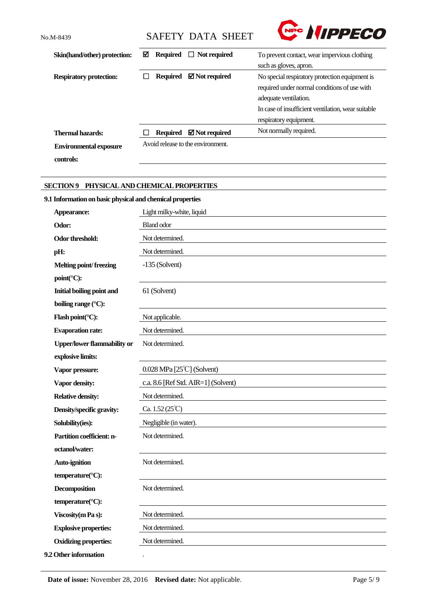**controls:**

No.M-8439 SAFETY DATA SHEET



| Skin(hand/other) protection:   | М |                 | Required $\Box$ Not required      | To prevent contact, wear impervious clothing       |  |
|--------------------------------|---|-----------------|-----------------------------------|----------------------------------------------------|--|
|                                |   |                 |                                   | such as gloves, apron.                             |  |
| <b>Respiratory protection:</b> |   | <b>Required</b> | $\boxtimes$ Not required          | No special respiratory protection equipment is     |  |
|                                |   |                 |                                   | required under normal conditions of use with       |  |
|                                |   |                 |                                   | adequate ventilation.                              |  |
|                                |   |                 |                                   | In case of insufficient ventilation, wear suitable |  |
|                                |   |                 |                                   | respiratory equipment.                             |  |
| <b>Thermal hazards:</b>        |   | <b>Required</b> | $\boxtimes$ Not required          | Not normally required.                             |  |
| <b>Environmental exposure</b>  |   |                 | Avoid release to the environment. |                                                    |  |

# **SECTION 9 PHYSICAL AND CHEMICAL PROPERTIES**

# **9.1 Information on basic physical and chemical properties**

| Appearance:                        | Light milky-white, liquid           |
|------------------------------------|-------------------------------------|
| Odor:                              | <b>Bland odor</b>                   |
| Odor threshold:                    | Not determined.                     |
| pH:                                | Not determined.                     |
| Melting point/freezing             | $-135$ (Solvent)                    |
| point(°C):                         |                                     |
| Initial boiling point and          | 61 (Solvent)                        |
| boiling range (°C):                |                                     |
| Flash point(°C):                   | Not applicable.                     |
| <b>Evaporation rate:</b>           | Not determined.                     |
| <b>Upper/lower flammability or</b> | Not determined.                     |
| explosive limits:                  |                                     |
| Vapor pressure:                    | $0.028$ MPa [25 $°C$ ] (Solvent)    |
| Vapor density:                     | c.a. 8.6 [Ref Std. AIR=1] (Solvent) |
| <b>Relative density:</b>           | Not determined.                     |
| Density/specific gravity:          | Ca. $1.52(25^{\circ}\text{C})$      |
| Solubility(ies):                   | Negligible (in water).              |
| Partition coefficient: n-          | Not determined.                     |
| octanol/water:                     |                                     |
| <b>Auto-ignition</b>               | Not determined.                     |
| temperature(°C):                   |                                     |
| <b>Decomposition</b>               | Not determined.                     |
| temperature(°C):                   |                                     |
| Viscosity (m Pa s):                | Not determined.                     |
| <b>Explosive properties:</b>       | Not determined.                     |
| <b>Oxidizing properties:</b>       | Not determined.                     |
| 9.2 Other information              | $\ddot{\phantom{0}}$                |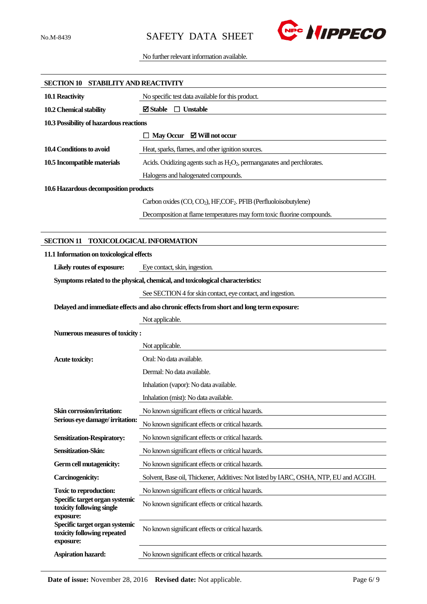

## No further relevant information available.

| SECTION 10 STABILITY AND REACTIVITY                                        |                                                                                           |
|----------------------------------------------------------------------------|-------------------------------------------------------------------------------------------|
| 10.1 Reactivity                                                            | No specific test data available for this product.                                         |
| 10.2 Chemical stability                                                    | <b>⊠</b> Stable<br>$\Box$ Unstable                                                        |
| 10.3 Possibility of hazardous reactions                                    |                                                                                           |
|                                                                            | $\Box$ May Occur $\Box$ Will not occur                                                    |
| 10.4 Conditions to avoid                                                   | Heat, sparks, flames, and other ignition sources.                                         |
| 10.5 Incompatible materials                                                | Acids. Oxidizing agents such as $H_2O_2$ , permanganates and perchlorates.                |
|                                                                            | Halogens and halogenated compounds.                                                       |
| 10.6 Hazardous decomposition products                                      |                                                                                           |
|                                                                            | Carbon oxides (CO, CO <sub>2</sub> ), HF, COF <sub>2</sub> . PFIB (Perfluoloisobutylene)  |
|                                                                            | Decomposition at flame temperatures may form toxic fluorine compounds.                    |
|                                                                            |                                                                                           |
| <b>SECTION 11</b>                                                          | <b>TOXICOLOGICAL INFORMATION</b>                                                          |
| 11.1 Information on toxicological effects                                  |                                                                                           |
| Likely routes of exposure:                                                 | Eye contact, skin, ingestion.                                                             |
|                                                                            | Symptoms related to the physical, chemical, and toxicological characteristics:            |
|                                                                            | See SECTION 4 for skin contact, eye contact, and ingestion.                               |
|                                                                            | Delayed and immediate effects and also chronic effects from short and long term exposure: |
|                                                                            | Not applicable.                                                                           |
| Numerous measures of toxicity:                                             |                                                                                           |
|                                                                            | Not applicable.                                                                           |
| <b>Acute toxicity:</b>                                                     | Oral: No data available.                                                                  |
|                                                                            | Dermal: No data available.                                                                |
|                                                                            | Inhalation (vapor): No data available.                                                    |
|                                                                            | Inhalation (mist): No data available.                                                     |
| Skin corrosion/irritation:                                                 | No known significant effects or critical hazards.                                         |
| Serious eye damage/irritation:                                             | No known significant effects or critical hazards.                                         |
| <b>Sensitization-Respiratory:</b>                                          | No known significant effects or critical hazards.                                         |
| Sensitization-Skin:                                                        | No known significant effects or critical hazards.                                         |
| Germ cell mutagenicity:                                                    | No known significant effects or critical hazards.                                         |
| <b>Carcinogenicity:</b>                                                    | Solvent, Base oil, Thickener, Additives: Not listed by IARC, OSHA, NTP, EU and ACGIH.     |
| <b>Toxic to reproduction:</b>                                              | No known significant effects or critical hazards.                                         |
| Specific target organ systemic<br>toxicity following single<br>exposure:   | No known significant effects or critical hazards.                                         |
| Specific target organ systemic<br>toxicity following repeated<br>exposure: | No known significant effects or critical hazards.                                         |
| <b>Aspiration hazard:</b>                                                  | No known significant effects or critical hazards.                                         |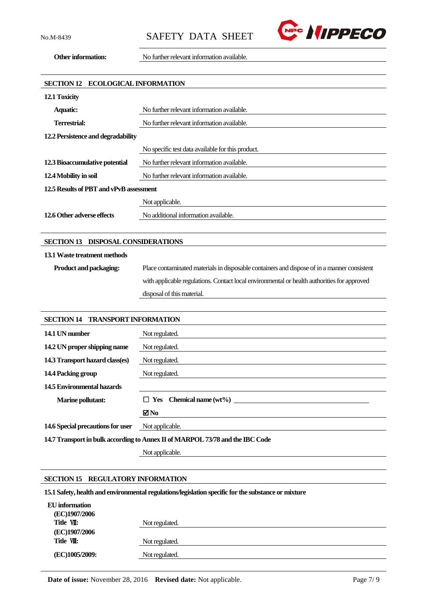

**Other information:** No further relevant information available.

| <b>ECOLOGICAL INFORMATION</b><br><b>SECTION 12</b> |                                                                                             |  |
|----------------------------------------------------|---------------------------------------------------------------------------------------------|--|
| 12.1 Toxicity                                      |                                                                                             |  |
| <b>Aquatic:</b>                                    | No further relevant information available.                                                  |  |
| <b>Terrestrial:</b>                                | No further relevant information available.                                                  |  |
| 12.2 Persistence and degradability                 |                                                                                             |  |
|                                                    | No specific test data available for this product.                                           |  |
| 12.3 Bioaccumulative potential                     | No further relevant information available.                                                  |  |
| 12.4 Mobility in soil                              | No further relevant information available.                                                  |  |
| 12.5 Results of PBT and vPvB assessment            |                                                                                             |  |
|                                                    | Not applicable.                                                                             |  |
| 12.6 Other adverse effects                         | No additional information available.                                                        |  |
|                                                    |                                                                                             |  |
| SECTION 13 DISPOSAL CONSIDERATIONS                 |                                                                                             |  |
| 13.1 Waste treatment methods                       |                                                                                             |  |
| Product and packaging:                             | Place contaminated materials in disposable containers and dispose of in a manner consistent |  |
|                                                    | with applicable regulations. Contact local environmental or health authorities for approved |  |
|                                                    | disposal of this material.                                                                  |  |
|                                                    |                                                                                             |  |
| <b>SECTION 14</b><br><b>TRANSPORT INFORMATION</b>  |                                                                                             |  |
| 14.1 UN number                                     | Not regulated.                                                                              |  |
| 14.2 UN proper shipping name                       | Not regulated.                                                                              |  |
| 14.3 Transport hazard class(es)                    | Not regulated.                                                                              |  |
| 14.4 Packing group                                 | Not regulated.                                                                              |  |
| <b>14.5 Environmental hazards</b>                  |                                                                                             |  |

| <b>Marine pollutant:</b>                                                      | $\Box$ Yes Chemical name (wt%) |
|-------------------------------------------------------------------------------|--------------------------------|
|                                                                               | ⊠No                            |
| <b>14.6 Special precautions for user</b> Not applicable.                      |                                |
| 14.7 Transport in bulk according to Annex II of MARPOL 73/78 and the IBC Code |                                |

Not applicable.

## **SECTION 15 REGULATORY INFORMATION**

**15.1 Safety, health and environmental regulations/legislation specific for the substance or mixture**

| EU information |                |
|----------------|----------------|
| (EC)1907/2006  |                |
| Title VII:     | Not regulated. |
| (EC)1907/2006  |                |
| Title VII:     | Not regulated. |
| (EC)1005/2009: | Not regulated. |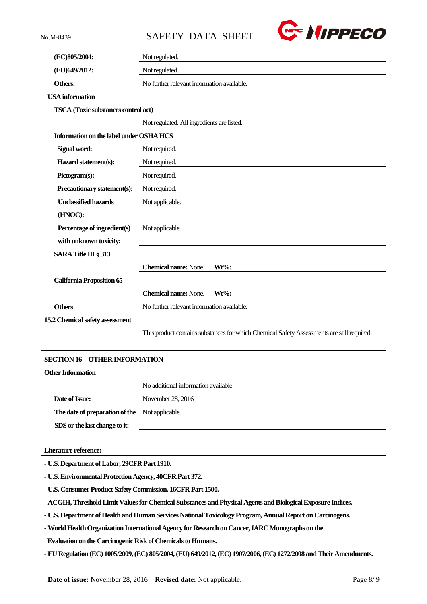No.M-8439 SAFETY DATA SHEET



| (EC)805/2004:                                 | Not regulated.                                                                             |  |
|-----------------------------------------------|--------------------------------------------------------------------------------------------|--|
| (EU)649/2012:                                 | Not regulated.                                                                             |  |
| Others:                                       | No further relevant information available.                                                 |  |
| <b>USA</b> information                        |                                                                                            |  |
| TSCA (Toxic substances control act)           |                                                                                            |  |
|                                               | Not regulated. All ingredients are listed.                                                 |  |
| Information on the label under OSHA HCS       |                                                                                            |  |
| Signal word:                                  | Not required.                                                                              |  |
| Hazard statement(s):                          | Not required.                                                                              |  |
| Pictogram(s):                                 | Not required.                                                                              |  |
| Precautionary statement(s):                   | Not required.                                                                              |  |
| <b>Unclassified hazards</b>                   | Not applicable.                                                                            |  |
| (HNOC):                                       |                                                                                            |  |
| Percentage of ingredient(s)                   | Not applicable.                                                                            |  |
| with unknown toxicity:                        |                                                                                            |  |
| SARA Title III § 313                          |                                                                                            |  |
|                                               | <b>Chemical name: None.</b><br>$Wt\%$ :                                                    |  |
| <b>California Proposition 65</b>              |                                                                                            |  |
|                                               | <b>Chemical name: None.</b><br>$Wt\%$ :                                                    |  |
| <b>Others</b>                                 | No further relevant information available.                                                 |  |
| 15.2 Chemical safety assessment               |                                                                                            |  |
|                                               | This product contains substances for which Chemical Safety Assessments are still required. |  |
|                                               |                                                                                            |  |
| <b>SECTION 16</b><br><b>OTHER INFORMATION</b> |                                                                                            |  |
| <b>Other Information</b>                      |                                                                                            |  |
|                                               | No additional information available.                                                       |  |
| Date of Issue:                                | November 28, 2016                                                                          |  |
| The date of preparation of the                | Not applicable.                                                                            |  |
| SDS or the last change to it:                 |                                                                                            |  |
|                                               |                                                                                            |  |

## **Literature reference:**

**- U.S. Department of Labor, 29CFR Part 1910.**

**- U.S. Environmental Protection Agency, 40CFR Part 372.**

**- U.S. Consumer Product Safety Commission, 16CFR Part 1500.**

**- ACGIH, Threshold Limit Values for Chemical Substances and Physical Agents and Biological Exposure Indices.**

**- U.S. Department of Health and Human Services National Toxicology Program, Annual Report on Carcinogens.**

**-World Health Organization International Agency for Research on Cancer, IARC Monographs on the**

**Evaluation on the Carcinogenic Risk of Chemicals to Humans.**

**-EU Regulation (EC) 1005/2009, (EC) 805/2004,(EU) 649/2012,(EC) 1907/2006,(EC) 1272/2008 and Their Amendments.**